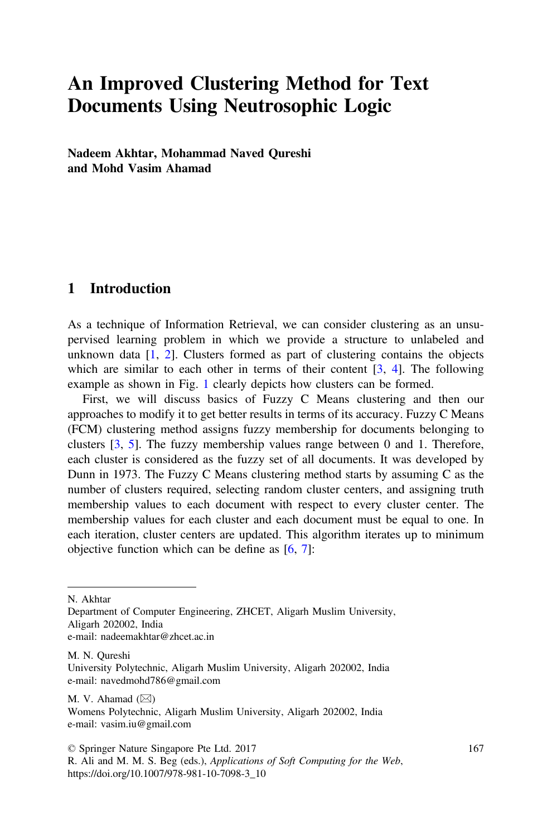# An Improved Clustering Method for Text Documents Using Neutrosophic Logic

Nadeem Akhtar, Mohammad Naved Qureshi and Mohd Vasim Ahamad

# 1 Introduction

As a technique of Information Retrieval, we can consider clustering as an unsupervised learning problem in which we provide a structure to unlabeled and unknown data [\[1](#page-12-0), [2](#page-12-0)]. Clusters formed as part of clustering contains the objects which are similar to each other in terms of their content  $[3, 4]$  $[3, 4]$  $[3, 4]$  $[3, 4]$ . The following example as shown in Fig. [1](#page-1-0) clearly depicts how clusters can be formed.

First, we will discuss basics of Fuzzy C Means clustering and then our approaches to modify it to get better results in terms of its accuracy. Fuzzy C Means (FCM) clustering method assigns fuzzy membership for documents belonging to clusters  $[3, 5]$  $[3, 5]$  $[3, 5]$  $[3, 5]$  $[3, 5]$ . The fuzzy membership values range between 0 and 1. Therefore, each cluster is considered as the fuzzy set of all documents. It was developed by Dunn in 1973. The Fuzzy C Means clustering method starts by assuming C as the number of clusters required, selecting random cluster centers, and assigning truth membership values to each document with respect to every cluster center. The membership values for each cluster and each document must be equal to one. In each iteration, cluster centers are updated. This algorithm iterates up to minimum objective function which can be define as  $[6, 7]$  $[6, 7]$  $[6, 7]$  $[6, 7]$ :

N. Akhtar

Department of Computer Engineering, ZHCET, Aligarh Muslim University, Aligarh 202002, India e-mail: nadeemakhtar@zhcet.ac.in

M. N. Qureshi University Polytechnic, Aligarh Muslim University, Aligarh 202002, India e-mail: navedmohd786@gmail.com

M. V. Ahamad  $(\boxtimes)$ Womens Polytechnic, Aligarh Muslim University, Aligarh 202002, India e-mail: vasim.iu@gmail.com

<sup>©</sup> Springer Nature Singapore Pte Ltd. 2017 R. Ali and M. M. S. Beg (eds.), Applications of Soft Computing for the Web, https://doi.org/10.1007/978-981-10-7098-3\_10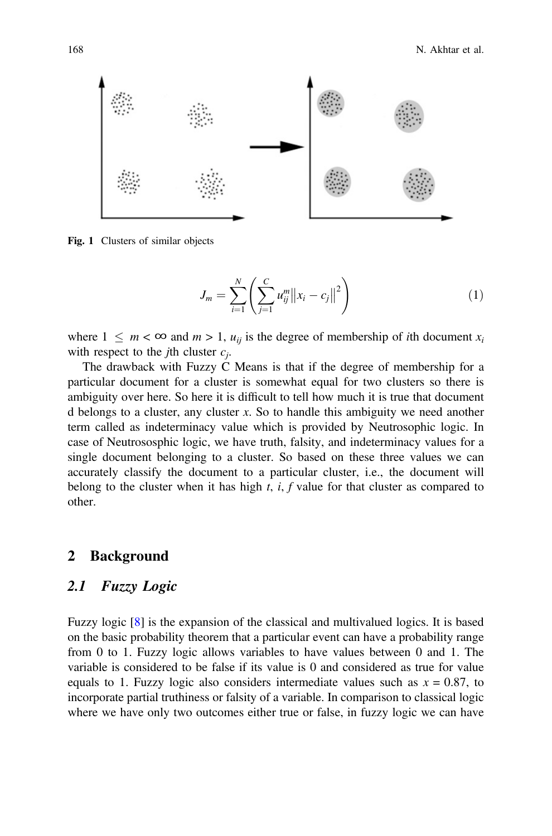<span id="page-1-0"></span>

Fig. 1 Clusters of similar objects

$$
J_m = \sum_{i=1}^{N} \left( \sum_{j=1}^{C} u_{ij}^m ||x_i - c_j||^2 \right)
$$
 (1)

where  $1 \leq m < \infty$  and  $m > 1$ ,  $u_{ij}$  is the degree of membership of *i*th document  $x_i$ with respect to the *j*th cluster  $c_i$ .

The drawback with Fuzzy C Means is that if the degree of membership for a particular document for a cluster is somewhat equal for two clusters so there is ambiguity over here. So here it is difficult to tell how much it is true that document d belongs to a cluster, any cluster x. So to handle this ambiguity we need another term called as indeterminacy value which is provided by Neutrosophic logic. In case of Neutrososphic logic, we have truth, falsity, and indeterminacy values for a single document belonging to a cluster. So based on these three values we can accurately classify the document to a particular cluster, i.e., the document will belong to the cluster when it has high  $t$ ,  $i$ ,  $f$  value for that cluster as compared to other.

## 2 Background

# 2.1 Fuzzy Logic

Fuzzy logic [[8\]](#page-12-0) is the expansion of the classical and multivalued logics. It is based on the basic probability theorem that a particular event can have a probability range from 0 to 1. Fuzzy logic allows variables to have values between 0 and 1. The variable is considered to be false if its value is 0 and considered as true for value equals to 1. Fuzzy logic also considers intermediate values such as  $x = 0.87$ , to incorporate partial truthiness or falsity of a variable. In comparison to classical logic where we have only two outcomes either true or false, in fuzzy logic we can have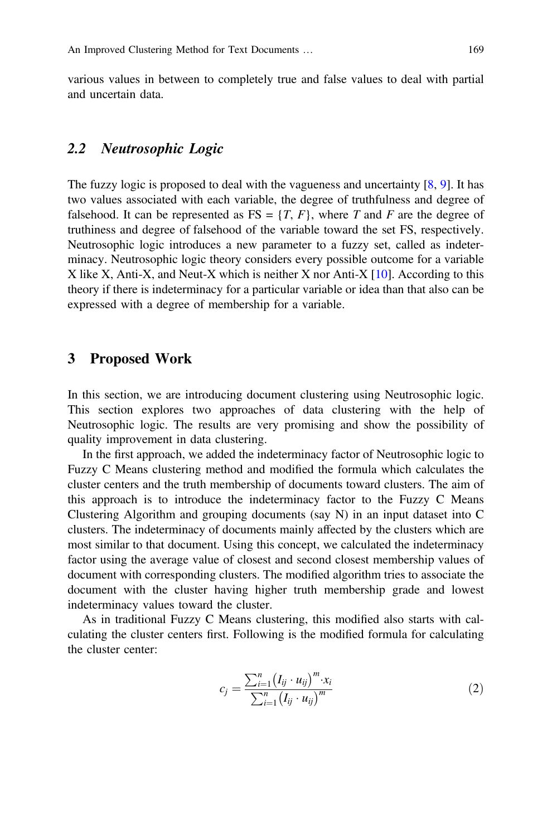various values in between to completely true and false values to deal with partial and uncertain data.

## 2.2 Neutrosophic Logic

The fuzzy logic is proposed to deal with the vagueness and uncertainty [[8,](#page-12-0) [9\]](#page-12-0). It has two values associated with each variable, the degree of truthfulness and degree of falsehood. It can be represented as  $FS = \{T, F\}$ , where T and F are the degree of truthiness and degree of falsehood of the variable toward the set FS, respectively. Neutrosophic logic introduces a new parameter to a fuzzy set, called as indeterminacy. Neutrosophic logic theory considers every possible outcome for a variable X like X, Anti-X, and Neut-X which is neither X nor Anti-X [[10\]](#page-12-0). According to this theory if there is indeterminacy for a particular variable or idea than that also can be expressed with a degree of membership for a variable.

#### 3 Proposed Work

In this section, we are introducing document clustering using Neutrosophic logic. This section explores two approaches of data clustering with the help of Neutrosophic logic. The results are very promising and show the possibility of quality improvement in data clustering.

In the first approach, we added the indeterminacy factor of Neutrosophic logic to Fuzzy C Means clustering method and modified the formula which calculates the cluster centers and the truth membership of documents toward clusters. The aim of this approach is to introduce the indeterminacy factor to the Fuzzy C Means Clustering Algorithm and grouping documents (say N) in an input dataset into C clusters. The indeterminacy of documents mainly affected by the clusters which are most similar to that document. Using this concept, we calculated the indeterminacy factor using the average value of closest and second closest membership values of document with corresponding clusters. The modified algorithm tries to associate the document with the cluster having higher truth membership grade and lowest indeterminacy values toward the cluster.

As in traditional Fuzzy C Means clustering, this modified also starts with calculating the cluster centers first. Following is the modified formula for calculating the cluster center:

$$
c_{j} = \frac{\sum_{i=1}^{n} (I_{ij} \cdot u_{ij})^{m} \cdot x_{i}}{\sum_{i=1}^{n} (I_{ij} \cdot u_{ij})^{m}}
$$
(2)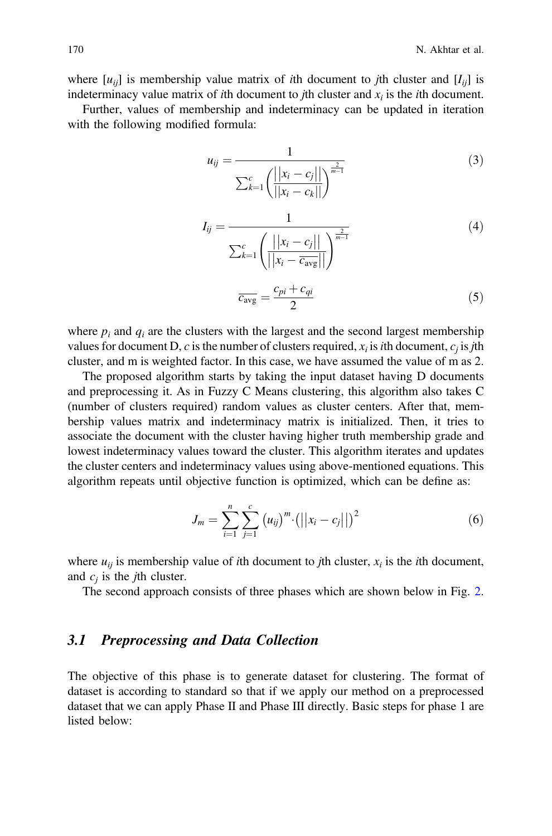<span id="page-3-0"></span>where  $[u_{ij}]$  is membership value matrix of *i*th document to *j*th cluster and  $[I_{ii}]$  is indeterminacy value matrix of *i*th document to *j*th cluster and  $x_i$  is the *i*th document.

Further, values of membership and indeterminacy can be updated in iteration with the following modified formula:

$$
u_{ij} = \frac{1}{\sum_{k=1}^{c} \left( \frac{||x_i - c_j||}{||x_i - c_k||} \right)^{\frac{2}{m-1}}}
$$
(3)

$$
I_{ij} = \frac{1}{\sum_{k=1}^{c} \left( \frac{||x_i - c_j||}{||x_i - \overline{c}_{avg}||} \right)^{\frac{2}{m-1}}}
$$
(4)

$$
\overline{c_{\text{avg}}} = \frac{c_{pi} + c_{qi}}{2} \tag{5}
$$

where  $p_i$  and  $q_i$  are the clusters with the largest and the second largest membership values for document D, c is the number of clusters required,  $x_i$  is ith document,  $c_i$  is jth cluster, and m is weighted factor. In this case, we have assumed the value of m as 2.

The proposed algorithm starts by taking the input dataset having D documents and preprocessing it. As in Fuzzy C Means clustering, this algorithm also takes C (number of clusters required) random values as cluster centers. After that, membership values matrix and indeterminacy matrix is initialized. Then, it tries to associate the document with the cluster having higher truth membership grade and lowest indeterminacy values toward the cluster. This algorithm iterates and updates the cluster centers and indeterminacy values using above-mentioned equations. This algorithm repeats until objective function is optimized, which can be define as:

$$
J_m = \sum_{i=1}^{n} \sum_{j=1}^{c} (u_{ij})^m \cdot (||x_i - c_j||)^2
$$
 (6)

where  $u_{ii}$  is membership value of *i*th document to *j*th cluster,  $x_i$  is the *i*th document, and  $c_i$  is the *j*th cluster.

The second approach consists of three phases which are shown below in Fig. [2](#page-4-0).

## 3.1 Preprocessing and Data Collection

The objective of this phase is to generate dataset for clustering. The format of dataset is according to standard so that if we apply our method on a preprocessed dataset that we can apply Phase II and Phase III directly. Basic steps for phase 1 are listed below: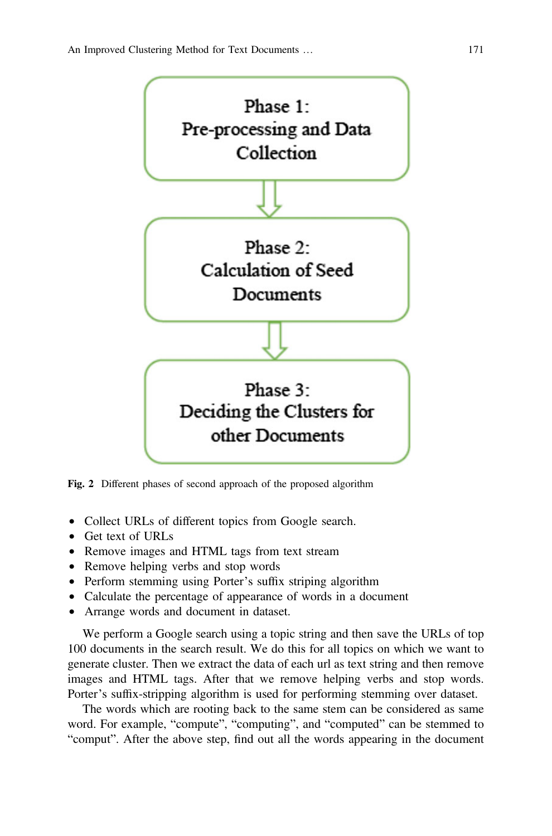<span id="page-4-0"></span>

Fig. 2 Different phases of second approach of the proposed algorithm

- Collect URLs of different topics from Google search.
- Get text of URLs
- Remove images and HTML tags from text stream
- Remove helping verbs and stop words
- Perform stemming using Porter's suffix striping algorithm
- Calculate the percentage of appearance of words in a document
- Arrange words and document in dataset.

We perform a Google search using a topic string and then save the URLs of top 100 documents in the search result. We do this for all topics on which we want to generate cluster. Then we extract the data of each url as text string and then remove images and HTML tags. After that we remove helping verbs and stop words. Porter's suffix-stripping algorithm is used for performing stemming over dataset.

The words which are rooting back to the same stem can be considered as same word. For example, "compute", "computing", and "computed" can be stemmed to "comput". After the above step, find out all the words appearing in the document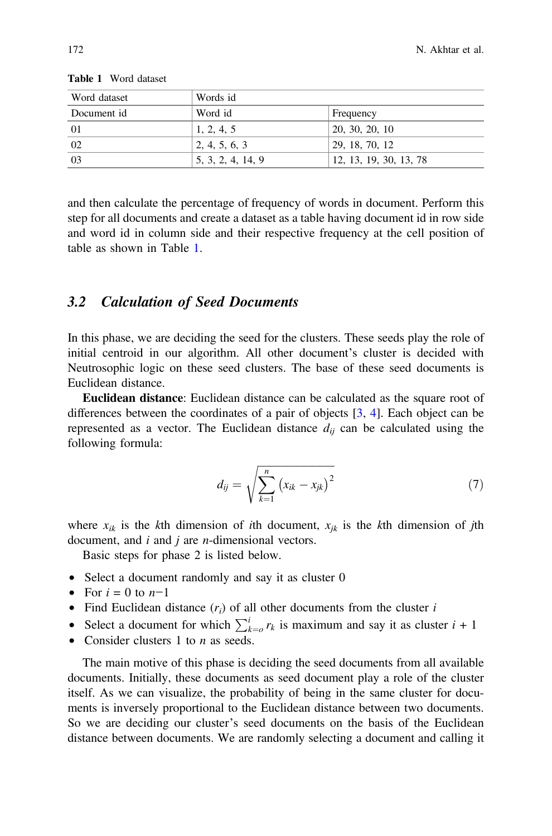| Word dataset | Words id                      |                        |
|--------------|-------------------------------|------------------------|
| Document id  | Word id                       | Frequency              |
| -01          | 1, 2, 4, 5                    | 20, 30, 20, 10         |
| -02          | $\vert 2, 4, 5, 6, 3 \rangle$ | 29, 18, 70, 12         |
| -03          | 5, 3, 2, 4, 14, 9             | 12, 13, 19, 30, 13, 78 |

Table 1 Word dataset

and then calculate the percentage of frequency of words in document. Perform this step for all documents and create a dataset as a table having document id in row side and word id in column side and their respective frequency at the cell position of table as shown in Table 1.

# 3.2 Calculation of Seed Documents

In this phase, we are deciding the seed for the clusters. These seeds play the role of initial centroid in our algorithm. All other document's cluster is decided with Neutrosophic logic on these seed clusters. The base of these seed documents is Euclidean distance.

Euclidean distance: Euclidean distance can be calculated as the square root of differences between the coordinates of a pair of objects [\[3](#page-12-0), [4\]](#page-12-0). Each object can be represented as a vector. The Euclidean distance  $d_{ii}$  can be calculated using the following formula:

$$
d_{ij} = \sqrt{\sum_{k=1}^{n} (x_{ik} - x_{jk})^2}
$$
 (7)

where  $x_{ik}$  is the kth dimension of ith document,  $x_{ik}$  is the kth dimension of jth document, and  $i$  and  $j$  are  $n$ -dimensional vectors.

Basic steps for phase 2 is listed below.

- Select a document randomly and say it as cluster 0
- For  $i = 0$  to  $n-1$
- Find Euclidean distance  $(r_i)$  of all other documents from the cluster i
- Select a document for which  $\sum_{k=0}^{i} r_k$  is maximum and say it as cluster  $i + 1$
- Consider clusters 1 to  $n$  as seeds.

The main motive of this phase is deciding the seed documents from all available documents. Initially, these documents as seed document play a role of the cluster itself. As we can visualize, the probability of being in the same cluster for documents is inversely proportional to the Euclidean distance between two documents. So we are deciding our cluster's seed documents on the basis of the Euclidean distance between documents. We are randomly selecting a document and calling it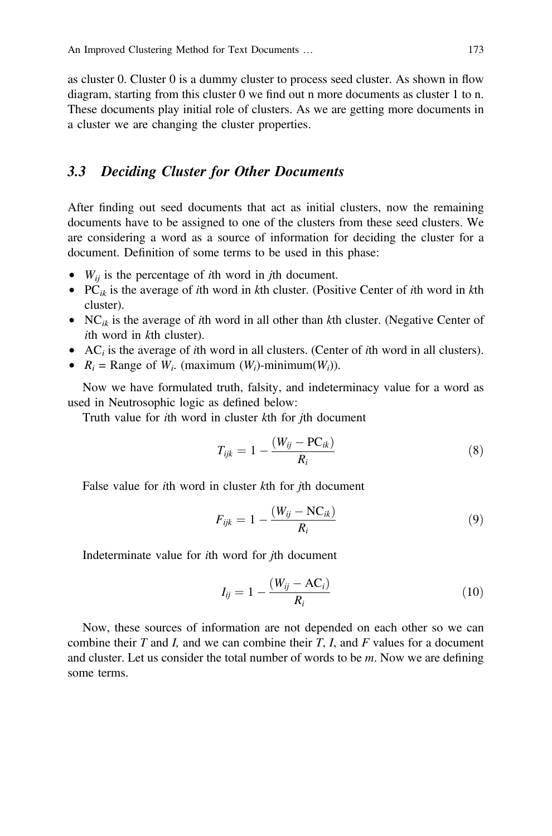as cluster 0. Cluster 0 is a dummy cluster to process seed cluster. As shown in flow diagram, starting from this cluster 0 we find out n more documents as cluster 1 to n. These documents play initial role of clusters. As we are getting more documents in a cluster we are changing the cluster properties.

# 3.3 Deciding Cluster for Other Documents

After finding out seed documents that act as initial clusters, now the remaining documents have to be assigned to one of the clusters from these seed clusters. We are considering a word as a source of information for deciding the cluster for a document. Definition of some terms to be used in this phase:

- $W_{ij}$  is the percentage of *i*th word in *j*th document.
- PC $_{ik}$  is the average of ith word in kth cluster. (Positive Center of ith word in kth cluster).
- NC<sub>ik</sub> is the average of ith word in all other than kth cluster. (Negative Center of ith word in kth cluster).
- AC<sub>i</sub> is the average of *i*th word in all clusters. (Center of *i*th word in all clusters).
- $R_i$  = Range of  $W_i$ . (maximum  $(W_i)$ -minimum $(W_i)$ ).

Now we have formulated truth, falsity, and indeterminacy value for a word as used in Neutrosophic logic as defined below:

Truth value for *i*th word in cluster *k*th for *j*th document

$$
T_{ijk} = 1 - \frac{(W_{ij} - PC_{ik})}{R_i}
$$
 (8)

False value for *i*th word in cluster *k*th for *j*th document

$$
F_{ijk} = 1 - \frac{(W_{ij} - \text{NC}_{ik})}{R_i} \tag{9}
$$

Indeterminate value for ith word for jth document

$$
I_{ij} = 1 - \frac{(W_{ij} - AC_i)}{R_i}
$$
 (10)

Now, these sources of information are not depended on each other so we can combine their  $T$  and  $I$ , and we can combine their  $T$ ,  $I$ , and  $F$  values for a document and cluster. Let us consider the total number of words to be  $m$ . Now we are defining some terms.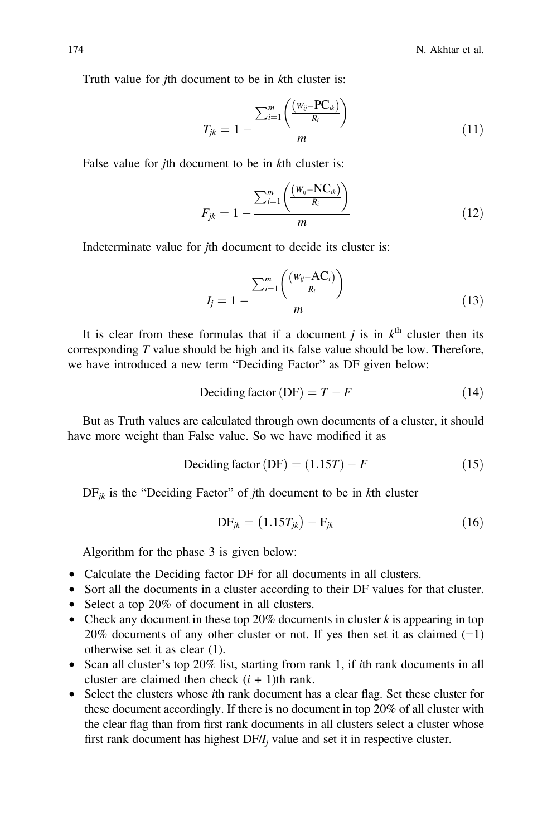Truth value for *j*th document to be in *k*th cluster is:

$$
T_{jk} = 1 - \frac{\sum_{i=1}^{m} \left( \frac{(w_{ij} - \text{PC}_{ik})}{R_i} \right)}{m}
$$
 (11)

False value for *j*th document to be in *k*th cluster is:

$$
F_{jk} = 1 - \frac{\sum_{i=1}^{m} \left( \frac{(W_{ij} - NC_{ik})}{R_i} \right)}{m}
$$
 (12)

Indeterminate value for jth document to decide its cluster is:

$$
I_j = 1 - \frac{\sum_{i=1}^{m} \left( \frac{(W_{ij} - AC_i)}{R_i} \right)}{m}
$$
(13)

It is clear from these formulas that if a document j is in  $k^{\text{th}}$  cluster then its corresponding T value should be high and its false value should be low. Therefore, we have introduced a new term "Deciding Factor" as DF given below:

Deciding factor (DF) = 
$$
T - F
$$
 (14)

But as Truth values are calculated through own documents of a cluster, it should have more weight than False value. So we have modified it as

Deciding factor (DF) = 
$$
(1.15T) - F
$$
 (15)

 $DF_{ik}$  is the "Deciding Factor" of jth document to be in kth cluster

$$
DF_{jk} = (1.15T_{jk}) - F_{jk}
$$
 (16)

Algorithm for the phase 3 is given below:

- Calculate the Deciding factor DF for all documents in all clusters.
- Sort all the documents in a cluster according to their DF values for that cluster.
- Select a top 20% of document in all clusters.
- Check any document in these top 20% documents in cluster  $k$  is appearing in top 20% documents of any other cluster or not. If yes then set it as claimed  $(-1)$ otherwise set it as clear (1).
- Scan all cluster's top 20% list, starting from rank 1, if *i*th rank documents in all cluster are claimed then check  $(i + 1)$ th rank.
- Select the clusters whose *i*th rank document has a clear flag. Set these cluster for these document accordingly. If there is no document in top 20% of all cluster with the clear flag than from first rank documents in all clusters select a cluster whose first rank document has highest  $DF/I_i$  value and set it in respective cluster.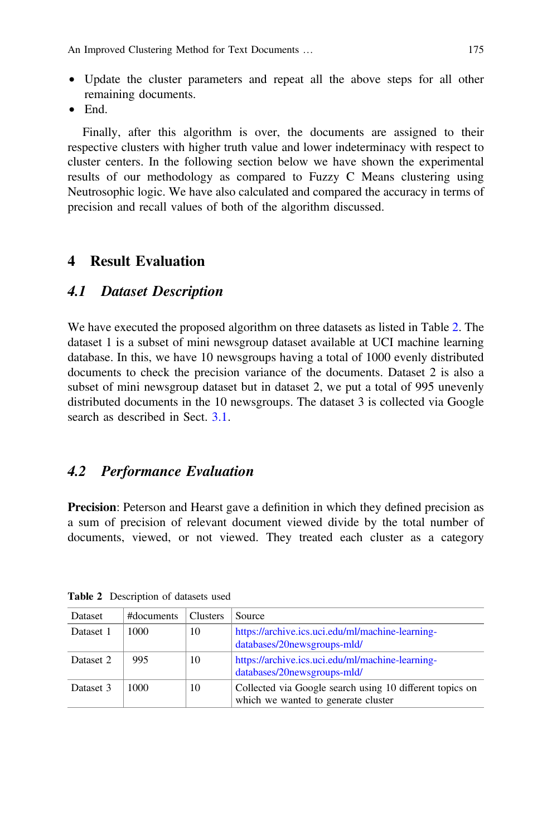An Improved Clustering Method for Text Documents … 175

- Update the cluster parameters and repeat all the above steps for all other remaining documents.
- End.

Finally, after this algorithm is over, the documents are assigned to their respective clusters with higher truth value and lower indeterminacy with respect to cluster centers. In the following section below we have shown the experimental results of our methodology as compared to Fuzzy C Means clustering using Neutrosophic logic. We have also calculated and compared the accuracy in terms of precision and recall values of both of the algorithm discussed.

# 4 Result Evaluation

#### 4.1 Dataset Description

We have executed the proposed algorithm on three datasets as listed in Table 2. The dataset 1 is a subset of mini newsgroup dataset available at UCI machine learning database. In this, we have 10 newsgroups having a total of 1000 evenly distributed documents to check the precision variance of the documents. Dataset 2 is also a subset of mini newsgroup dataset but in dataset 2, we put a total of 995 unevenly distributed documents in the 10 newsgroups. The dataset 3 is collected via Google search as described in Sect. [3.1](#page-3-0).

### 4.2 Performance Evaluation

Precision: Peterson and Hearst gave a definition in which they defined precision as a sum of precision of relevant document viewed divide by the total number of documents, viewed, or not viewed. They treated each cluster as a category

| <b>Dataset</b> | #documents | <b>Clusters</b> | Source                                                                                          |
|----------------|------------|-----------------|-------------------------------------------------------------------------------------------------|
| Dataset 1      | 1000       | 10              | https://archive.ics.uci.edu/ml/machine-learning-<br>databases/20newsgroups-mld/                 |
| Dataset 2      | 995        | 10              | https://archive.ics.uci.edu/ml/machine-learning-<br>databases/20newsgroups-mld/                 |
| Dataset 3      | 1000       | 10              | Collected via Google search using 10 different topics on<br>which we wanted to generate cluster |

Table 2 Description of datasets used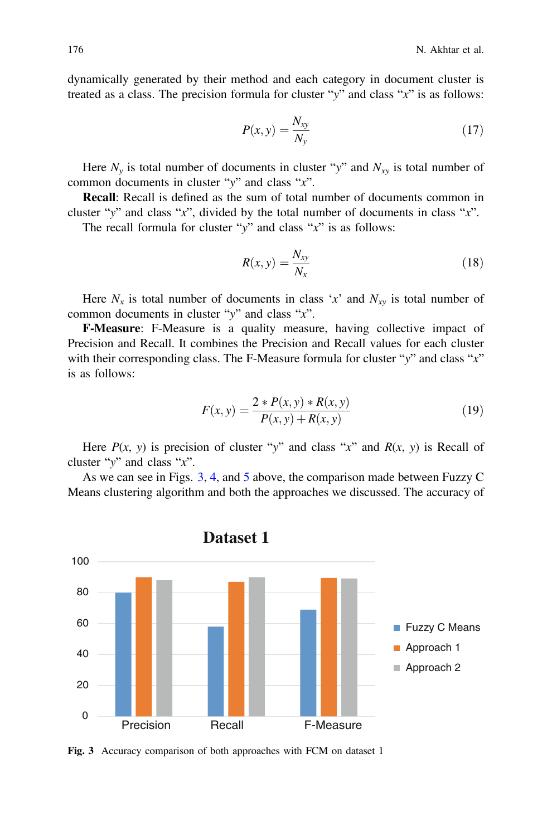dynamically generated by their method and each category in document cluster is treated as a class. The precision formula for cluster "y" and class " $x$ " is as follows:

$$
P(x, y) = \frac{N_{xy}}{N_y} \tag{17}
$$

Here  $N_v$  is total number of documents in cluster "y" and  $N_{xy}$  is total number of common documents in cluster "y" and class "x".

Recall: Recall is defined as the sum of total number of documents common in cluster "y" and class "x", divided by the total number of documents in class "x".

The recall formula for cluster "y" and class " $x$ " is as follows:

$$
R(x, y) = \frac{N_{xy}}{N_x} \tag{18}
$$

Here  $N_x$  is total number of documents in class 'x' and  $N_{xy}$  is total number of common documents in cluster "y" and class "x".

F-Measure: F-Measure is a quality measure, having collective impact of Precision and Recall. It combines the Precision and Recall values for each cluster with their corresponding class. The F-Measure formula for cluster "y" and class "x" is as follows:

$$
F(x, y) = \frac{2 * P(x, y) * R(x, y)}{P(x, y) + R(x, y)}
$$
(19)

Here  $P(x, y)$  is precision of cluster "y" and class "x" and  $R(x, y)$  is Recall of cluster "y" and class " $x$ ".

As we can see in Figs. 3, [4](#page-10-0), and [5](#page-10-0) above, the comparison made between Fuzzy C Means clustering algorithm and both the approaches we discussed. The accuracy of



Fig. 3 Accuracy comparison of both approaches with FCM on dataset 1

**Dataset 1**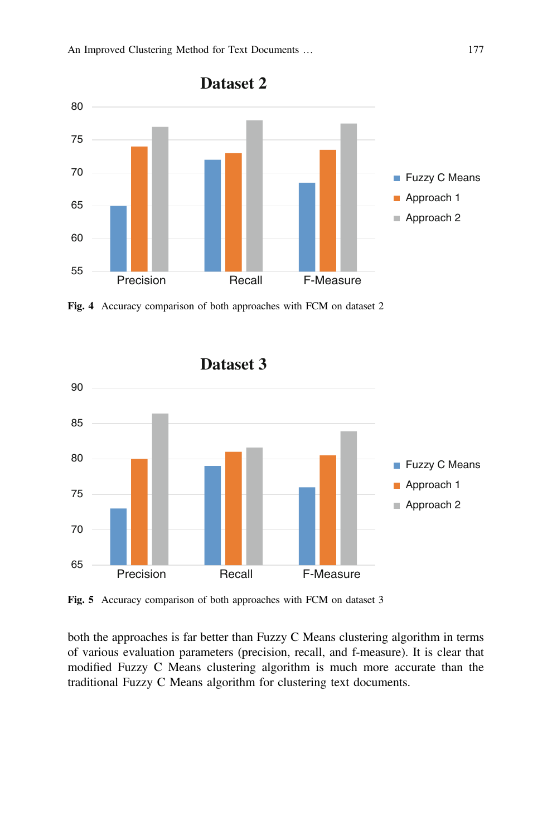<span id="page-10-0"></span>

Fig. 4 Accuracy comparison of both approaches with FCM on dataset 2



Fig. 5 Accuracy comparison of both approaches with FCM on dataset 3

both the approaches is far better than Fuzzy C Means clustering algorithm in terms of various evaluation parameters (precision, recall, and f-measure). It is clear that modified Fuzzy C Means clustering algorithm is much more accurate than the traditional Fuzzy C Means algorithm for clustering text documents.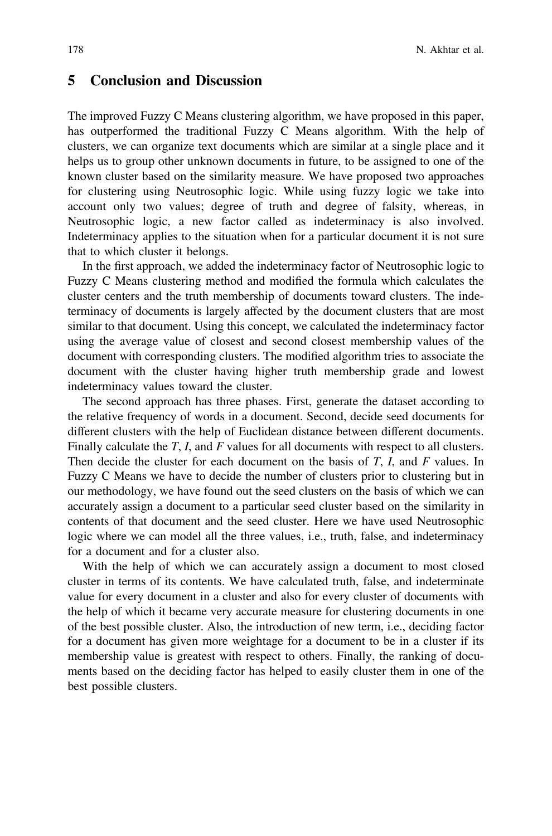## 5 Conclusion and Discussion

The improved Fuzzy C Means clustering algorithm, we have proposed in this paper, has outperformed the traditional Fuzzy C Means algorithm. With the help of clusters, we can organize text documents which are similar at a single place and it helps us to group other unknown documents in future, to be assigned to one of the known cluster based on the similarity measure. We have proposed two approaches for clustering using Neutrosophic logic. While using fuzzy logic we take into account only two values; degree of truth and degree of falsity, whereas, in Neutrosophic logic, a new factor called as indeterminacy is also involved. Indeterminacy applies to the situation when for a particular document it is not sure that to which cluster it belongs.

In the first approach, we added the indeterminacy factor of Neutrosophic logic to Fuzzy C Means clustering method and modified the formula which calculates the cluster centers and the truth membership of documents toward clusters. The indeterminacy of documents is largely affected by the document clusters that are most similar to that document. Using this concept, we calculated the indeterminacy factor using the average value of closest and second closest membership values of the document with corresponding clusters. The modified algorithm tries to associate the document with the cluster having higher truth membership grade and lowest indeterminacy values toward the cluster.

The second approach has three phases. First, generate the dataset according to the relative frequency of words in a document. Second, decide seed documents for different clusters with the help of Euclidean distance between different documents. Finally calculate the T, I, and F values for all documents with respect to all clusters. Then decide the cluster for each document on the basis of  $T$ ,  $I$ , and  $F$  values. In Fuzzy C Means we have to decide the number of clusters prior to clustering but in our methodology, we have found out the seed clusters on the basis of which we can accurately assign a document to a particular seed cluster based on the similarity in contents of that document and the seed cluster. Here we have used Neutrosophic logic where we can model all the three values, i.e., truth, false, and indeterminacy for a document and for a cluster also.

With the help of which we can accurately assign a document to most closed cluster in terms of its contents. We have calculated truth, false, and indeterminate value for every document in a cluster and also for every cluster of documents with the help of which it became very accurate measure for clustering documents in one of the best possible cluster. Also, the introduction of new term, i.e., deciding factor for a document has given more weightage for a document to be in a cluster if its membership value is greatest with respect to others. Finally, the ranking of documents based on the deciding factor has helped to easily cluster them in one of the best possible clusters.